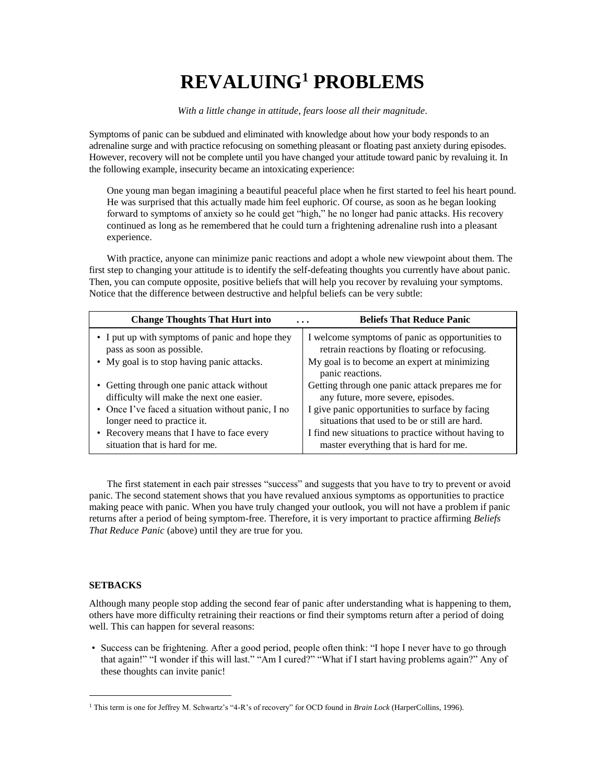## **REVALUING<sup>1</sup> PROBLEMS**

*With a little change in attitude, fears loose all their magnitude.*

Symptoms of panic can be subdued and eliminated with knowledge about how your body responds to an adrenaline surge and with practice refocusing on something pleasant or floating past anxiety during episodes. However, recovery will not be complete until you have changed your attitude toward panic by revaluing it. In the following example, insecurity became an intoxicating experience:

One young man began imagining a beautiful peaceful place when he first started to feel his heart pound. He was surprised that this actually made him feel euphoric. Of course, as soon as he began looking forward to symptoms of anxiety so he could get "high," he no longer had panic attacks. His recovery continued as long as he remembered that he could turn a frightening adrenaline rush into a pleasant experience.

With practice, anyone can minimize panic reactions and adopt a whole new viewpoint about them. The first step to changing your attitude is to identify the self-defeating thoughts you currently have about panic. Then, you can compute opposite, positive beliefs that will help you recover by revaluing your symptoms. Notice that the difference between destructive and helpful beliefs can be very subtle:

| <b>Change Thoughts That Hurt into</b>             | <b>Beliefs That Reduce Panic</b>                                 |
|---------------------------------------------------|------------------------------------------------------------------|
| • I put up with symptoms of panic and hope they   | I welcome symptoms of panic as opportunities to                  |
| pass as soon as possible.                         | retrain reactions by floating or refocusing.                     |
| • My goal is to stop having panic attacks.        | My goal is to become an expert at minimizing<br>panic reactions. |
| • Getting through one panic attack without        | Getting through one panic attack prepares me for                 |
| difficulty will make the next one easier.         | any future, more severe, episodes.                               |
| • Once I've faced a situation without panic, I no | I give panic opportunities to surface by facing                  |
| longer need to practice it.                       | situations that used to be or still are hard.                    |
| • Recovery means that I have to face every        | I find new situations to practice without having to              |
| situation that is hard for me.                    | master everything that is hard for me.                           |

The first statement in each pair stresses "success" and suggests that you have to try to prevent or avoid panic. The second statement shows that you have revalued anxious symptoms as opportunities to practice making peace with panic. When you have truly changed your outlook, you will not have a problem if panic returns after a period of being symptom-free. Therefore, it is very important to practice affirming *Beliefs That Reduce Panic* (above) until they are true for you.

## **SETBACKS**

 $\overline{a}$ 

Although many people stop adding the second fear of panic after understanding what is happening to them, others have more difficulty retraining their reactions or find their symptoms return after a period of doing well. This can happen for several reasons:

• Success can be frightening. After a good period, people often think: "I hope I never have to go through that again!" "I wonder if this will last." "Am I cured?" "What if I start having problems again?" Any of these thoughts can invite panic!

<sup>1</sup> This term is one for Jeffrey M. Schwartz's "4-R's of recovery" for OCD found in *Brain Lock* (HarperCollins, 1996).